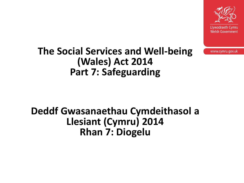

www.cymru.gov.uk

#### **The Social Services and Well-being (Wales) Act 2014 Part 7: Safeguarding**

#### **Deddf Gwasanaethau Cymdeithasol a Llesiant (Cymru) 2014 Rhan 7: Diogelu**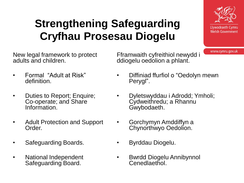#### **Strengthening Safeguarding Cryfhau Prosesau Diogelu**

New legal framework to protect adults and children.

- Formal "Adult at Risk" definition.
- Duties to Report; Enquire; Co-operate; and Share Information.
- Adult Protection and Support Order.
- Safeguarding Boards.
- National Independent Safeguarding Board.

Fframwaith cyfreithiol newydd i ddiogelu oedolion a phlant.

- Diffiniad ffurfiol o "Oedolyn mewn Perygl".
- Dyletswyddau i Adrodd; Ymholi; Cydweithredu; a Rhannu Gwybodaeth.
- Gorchymyn Amddiffyn a Chynorthwyo Oedolion.
- Byrddau Diogelu.
- Bwrdd Diogelu Annibynnol Cenedlaethol.

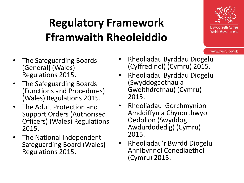## **Regulatory Framework Fframwaith Rheoleiddio**



- The Safeguarding Boards (General) (Wales) Regulations 2015.
- The Safeguarding Boards (Functions and Procedures) (Wales) Regulations 2015.
- The Adult Protection and Support Orders (Authorised Officers) (Wales) Regulations 2015.
- The National Independent Safeguarding Board (Wales) Regulations 2015.
- Rheoliadau Byrddau Diogelu (Cyffredinol) (Cymru) 2015.
- Rheoliadau Byrddau Diogelu (Swyddogaethau a Gweithdrefnau) (Cymru) 2015.
- Rheoliadau Gorchmynion Amddiffyn a Chynorthwyo Oedolion (Swyddog Awdurdodedig) (Cymru) 2015.
- Rheoliadau'r Bwrdd Diogelu Annibynnol Cenedlaethol (Cymru) 2015.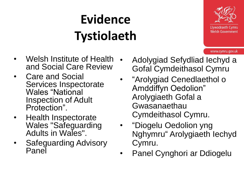# **Evidence Tystiolaeth**



- Welsh Institute of Health and Social Care Review
- Care and Social Services Inspectorate Wales "National Inspection of Adult Protection".
- Health Inspectorate Wales "Safeguarding Adults in Wales".
- Safeguarding Advisory Panel
- Adolygiad Sefydliad Iechyd a Gofal Cymdeithasol Cymru
- "Arolygiad Cenedlaethol o Amddiffyn Oedolion" Arolygiaeth Gofal a Gwasanaethau Cymdeithasol Cymru.
- "Diogelu Oedolion yng Nghymru" Arolygiaeth Iechyd Cymru.
- Panel Cynghori ar Ddiogelu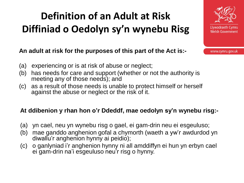### **Definition of an Adult at Risk Diffiniad o Oedolyn sy'n wynebu Risg**

**An adult at risk for the purposes of this part of the Act is:-**

- (a) experiencing or is at risk of abuse or neglect;
- (b) has needs for care and support (whether or not the authority is meeting any of those needs); and
- (c) as a result of those needs is unable to protect himself or herself against the abuse or neglect or the risk of it.

#### **At ddibenion y rhan hon o'r Ddeddf, mae oedolyn sy'n wynebu risg:-**

- (a) yn cael, neu yn wynebu risg o gael, ei gam-drin neu ei esgeuluso;
- (b) mae ganddo anghenion gofal a chymorth (waeth a yw'r awdurdod yn diwallu'r anghenion hynny ai peidio);
- (c) o ganlyniad i'r anghenion hynny ni all amddiffyn ei hun yn erbyn cael ei gam-drin na'i esgeuluso neu'r risg o hynny.

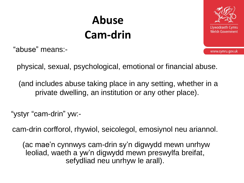## **Abuse Cam-drin**

"abuse" means:-



www.cymru.gov.uk

physical, sexual, psychological, emotional or financial abuse.

(and includes abuse taking place in any setting, whether in a private dwelling, an institution or any other place).

"ystyr "cam-drin" yw:-

cam-drin corfforol, rhywiol, seicolegol, emosiynol neu ariannol.

(ac mae'n cynnwys cam-drin sy'n digwydd mewn unrhyw leoliad, waeth a yw'n digwydd mewn preswylfa breifat, sefydliad neu unrhyw le arall).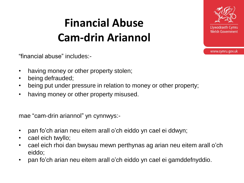## **Financial Abuse Cam-drin Ariannol**



- having money or other property stolen;
- being defrauded;
- being put under pressure in relation to money or other property;
- having money or other property misused.

mae "cam-drin ariannol" yn cynnwys:-

- pan fo'ch arian neu eitem arall o'ch eiddo yn cael ei ddwyn;
- cael eich twyllo;
- cael eich rhoi dan bwysau mewn perthynas ag arian neu eitem arall o'ch eiddo;
- pan fo'ch arian neu eitem arall o'ch eiddo yn cael ei gamddefnyddio.

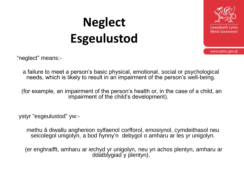# **Neglect Esgeulustod**



www.cymru.gov.uk

"neglect" means:-

a failure to meet a person's basic physical, emotional, social or psychological needs, which is likely to result in an impairment of the person's well-being.

(for example, an impairment of the person's health or, in the case of a child, an impairment of the child's development).

ystyr "esgeulustod" yw:-

methu â diwallu anghenion sylfaenol corfforol, emosiynol, cymdeithasol neu seicolegol unigolyn, a bod hynny'n debygol o amharu ar les yr unigolyn.

(er enghraifft, amharu ar iechyd yr unigolyn, neu yn achos plentyn, amharu ar ddatblygiad y plentyn).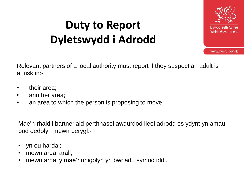## **Duty to Report Dyletswydd i Adrodd**



www.cymru.gov.uk

Relevant partners of a local authority must report if they suspect an adult is at risk in:-

- their area;
- another area;
- an area to which the person is proposing to move.

Mae'n rhaid i bartneriaid perthnasol awdurdod lleol adrodd os ydynt yn amau bod oedolyn mewn perygl:-

- yn eu hardal;
- mewn ardal arall;
- mewn ardal y mae'r unigolyn yn bwriadu symud iddi.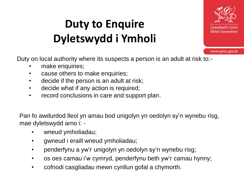# **Duty to Enquire Dyletswydd i Ymholi**



www.cymru.gov.uk

Duty on local authority where its suspects a person is an adult at risk to:-

- make enquiries;
- cause others to make enquiries;
- decide if the person is an adult at risk;
- decide what if any action is required;
- record conclusions in care and support plan.

Pan fo awdurdod lleol yn amau bod unigolyn yn oedolyn sy'n wynebu risg, mae dyletswydd arno i: -

- wneud ymholiadau;
- gwneud i eraill wneud ymholiadau;
- penderfynu a yw'r unigolyn yn oedolyn sy'n wynebu risg;
- os oes camau i'w cymryd, penderfynu beth yw'r camau hynny;
- cofnodi casgliadau mewn cynllun gofal a chymorth.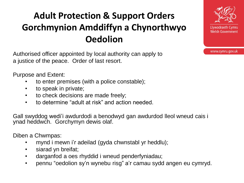#### **Adult Protection & Support Orders Gorchmynion Amddiffyn a Chynorthwyo Oedolion**

Authorised officer appointed by local authority can apply to a justice of the peace. Order of last resort.

Purpose and Extent:

- to enter premises (with a police constable);
- to speak in private;
- to check decisions are made freely;
- to determine "adult at risk" and action needed.

Gall swyddog wedi'i awdurdodi a benodwyd gan awdurdod lleol wneud cais i ynad heddwch. Gorchymyn dewis olaf.

Diben a Chwmpas:

- mynd i mewn i'r adeilad (gyda chwnstabl yr heddlu);
- siarad yn breifat;
- darganfod a oes rhyddid i wneud penderfyniadau;
- pennu "oedolion sy'n wynebu risg" a'r camau sydd angen eu cymryd.

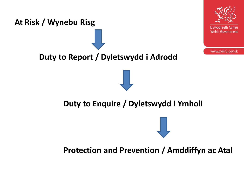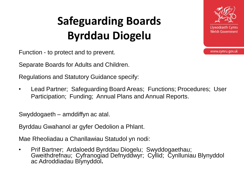# **Safeguarding Boards Byrddau Diogelu**

Function - to protect and to prevent.

Separate Boards for Adults and Children.

Regulations and Statutory Guidance specify:

• Lead Partner; Safeguarding Board Areas; Functions; Procedures; User Participation; Funding; Annual Plans and Annual Reports.

Swyddogaeth – amddiffyn ac atal.

Byrddau Gwahanol ar gyfer Oedolion a Phlant.

Mae Rheoliadau a Chanllawiau Statudol yn nodi:

• Prif Bartner; Ardaloedd Byrddau Diogelu; Swyddogaethau; Gweithdrefnau; Cyfranogiad Defnyddwyr; Cyllid; Cynlluniau Blynyddol ac Adroddiadau Blynyddol**.**

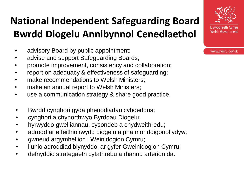#### **National Independent Safeguarding Board Bwrdd Diogelu Annibynnol Cenedlaethol**

- advisory Board by public appointment;
- advise and support Safeguarding Boards;
- promote improvement, consistency and collaboration;
- report on adequacy & effectiveness of safeguarding;
- make recommendations to Welsh Ministers;
- make an annual report to Welsh Ministers;
- use a communication strategy & share good practice.
- Bwrdd cynghori gyda phenodiadau cyhoeddus;
- cynghori a chynorthwyo Byrddau Diogelu;
- hyrwyddo gwelliannau, cysondeb a chydweithredu;
- adrodd ar effeithiolrwydd diogelu a pha mor ddigonol ydyw;
- gwneud argymhellion i Weinidogion Cymru;
- llunio adroddiad blynyddol ar gyfer Gweinidogion Cymru;
- defnyddio strategaeth cyfathrebu a rhannu arferion da.

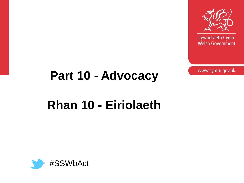

Llywodraeth Cymru **Welsh Government** 

www.cymru.gov.uk

# **Part 10 - Advocacy**

## **Rhan 10 - Eiriolaeth**

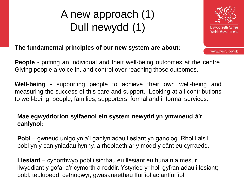### A new approach (1) Dull newydd (1)



www.cymru.gov.uk

#### **The fundamental principles of our new system are about:**

**People** - putting an individual and their well-being outcomes at the centre. Giving people a voice in, and control over reaching those outcomes.

**Well-being** - supporting people to achieve their own well-being and measuring the success of this care and support. Looking at all contributions to well-being; people, families, supporters, formal and informal services.

#### **Mae egwyddorion sylfaenol ein system newydd yn ymwneud â'r canlynol:**

**Pobl** – gwneud unigolyn a'i ganlyniadau llesiant yn ganolog. Rhoi llais i bobl yn y canlyniadau hynny, a rheolaeth ar y modd y cânt eu cyrraedd.

**Llesiant** – cynorthwyo pobl i sicrhau eu llesiant eu hunain a mesur llwyddiant y gofal a'r cymorth a roddir. Ystyried yr holl gyfraniadau i lesiant; pobl, teuluoedd, cefnogwyr, gwasanaethau ffurfiol ac anffurfiol.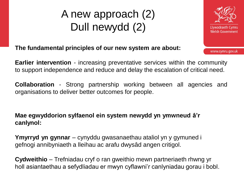#### A new approach (2) Dull newydd (2)



www.cymru.gov.uk

**The fundamental principles of our new system are about:**

**Earlier intervention** - increasing preventative services within the community to support independence and reduce and delay the escalation of critical need.

**Collaboration** - Strong partnership working between all agencies and organisations to deliver better outcomes for people.

**Mae egwyddorion sylfaenol ein system newydd yn ymwneud â'r canlynol:**

**Ymyrryd yn gynnar** – cynyddu gwasanaethau ataliol yn y gymuned i gefnogi annibyniaeth a lleihau ac arafu dwysâd angen critigol.

**Cydweithio** – Trefniadau cryf o ran gweithio mewn partneriaeth rhwng yr holl asiantaethau a sefydliadau er mwyn cyflawni'r canlyniadau gorau i bobl.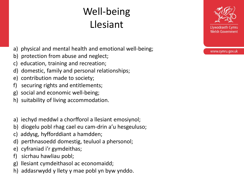### Well-being Llesiant

- a) physical and mental health and emotional well-being;
- b) protection from abuse and neglect;
- c) education, training and recreation;
- d) domestic, family and personal relationships;
- e) contribution made to society;
- f) securing rights and entitlements;
- g) social and economic well-being;
- h) suitability of living accommodation.
- a) iechyd meddwl a chorfforol a llesiant emosiynol;
- b) diogelu pobl rhag cael eu cam-drin a'u hesgeuluso;
- c) addysg, hyfforddiant a hamdden;
- d) perthnasoedd domestig, teuluol a phersonol;
- e) cyfraniad i'r gymdeithas;
- f) sicrhau hawliau pobl;
- g) llesiant cymdeithasol ac economaidd;
- h) addasrwydd y llety y mae pobl yn byw ynddo.

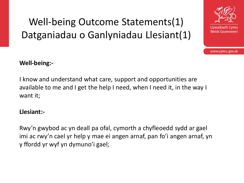#### Well-being Outcome Statements(1) Datganiadau o Ganlyniadau Llesiant(1)



www.cymru.gov.uk

#### **Well-being:-**

I know and understand what care, support and opportunities are available to me and I get the help I need, when I need it, in the way I want it;

#### **Llesiant:-**

Rwy'n gwybod ac yn deall pa ofal, cymorth a chyfleoedd sydd ar gael imi ac rwy'n cael yr help y mae ei angen arnaf, pan fo'i angen arnaf, yn y ffordd yr wyf yn dymuno'i gael;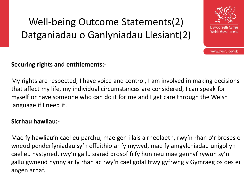#### Well-being Outcome Statements(2) Datganiadau o Ganlyniadau Llesiant(2)



www.cymru.gov.uk

#### **Securing rights and entitlements:-**

My rights are respected, I have voice and control, I am involved in making decisions that affect my life, my individual circumstances are considered, I can speak for myself or have someone who can do it for me and I get care through the Welsh language if I need it.

#### **Sicrhau hawliau:-**

Mae fy hawliau'n cael eu parchu, mae gen i lais a rheolaeth, rwy'n rhan o'r broses o wneud penderfyniadau sy'n effeithio ar fy mywyd, mae fy amgylchiadau unigol yn cael eu hystyried, rwy'n gallu siarad drosof fi fy hun neu mae gennyf rywun sy'n gallu gwneud hynny ar fy rhan ac rwy'n cael gofal trwy gyfrwng y Gymraeg os oes ei angen arnaf.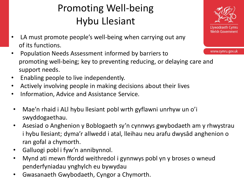#### Promoting Well-being Hybu Llesiant

- LA must promote people's well-being when carrying out any of its functions.
- Population Needs Assessment informed by barriers to promoting well-being; key to preventing reducing, or delaying care and support needs.
- Enabling people to live independently.
- Actively involving people in making decisions about their lives
- Information, Advice and Assistance Service.
- Mae'n rhaid i ALl hybu llesiant pobl wrth gyflawni unrhyw un o'i swyddogaethau.
- Asesiad o Anghenion y Boblogaeth sy'n cynnwys gwybodaeth am y rhwystrau i hybu llesiant; dyma'r allwedd i atal, lleihau neu arafu dwysâd anghenion o ran gofal a chymorth.
- Galluogi pobl i fyw'n annibynnol.
- Mynd ati mewn ffordd weithredol i gynnwys pobl yn y broses o wneud penderfyniadau ynghylch eu bywydau
- Gwasanaeth Gwybodaeth, Cyngor a Chymorth.

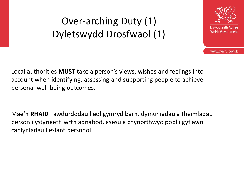#### Over-arching Duty (1) Dyletswydd Drosfwaol (1)



www.cymru.gov.uk

Local authorities **MUST** take a person's views, wishes and feelings into account when identifying, assessing and supporting people to achieve personal well-being outcomes.

Mae'n **RHAID** i awdurdodau lleol gymryd barn, dymuniadau a theimladau person i ystyriaeth wrth adnabod, asesu a chynorthwyo pobl i gyflawni canlyniadau llesiant personol.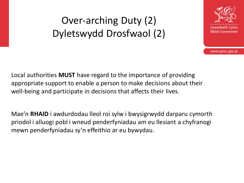#### Over-arching Duty (2) Dyletswydd Drosfwaol (2)



www.cymru.gov.uk

Local authorities **MUST** have regard to the importance of providing appropriate support to enable a person to make decisions about their well-being and participate in decisions that affects their lives.

Mae'n **RHAID** i awdurdodau lleol roi sylw i bwysigrwydd darparu cymorth priodol i alluogi pobl i wneud penderfyniadau am eu llesiant a chyfranogi mewn penderfyniadau sy'n effeithio ar eu bywydau.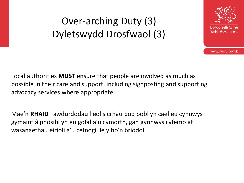#### Over-arching Duty (3) Dyletswydd Drosfwaol (3)



www.cymru.gov.uk

Local authorities **MUST** ensure that people are involved as much as possible in their care and support, including signposting and supporting advocacy services where appropriate.

Mae'n **RHAID** i awdurdodau lleol sicrhau bod pobl yn cael eu cynnwys gymaint â phosibl yn eu gofal a'u cymorth, gan gynnwys cyfeirio at wasanaethau eirioli a'u cefnogi lle y bo'n briodol.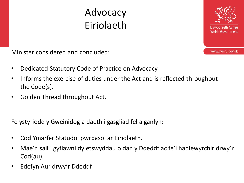#### Advocacy Eiriolaeth



Minister considered and concluded:

- Dedicated Statutory Code of Practice on Advocacy.
- Informs the exercise of duties under the Act and is reflected throughout the Code(s).
- Golden Thread throughout Act.

Fe ystyriodd y Gweinidog a daeth i gasgliad fel a ganlyn:

- Cod Ymarfer Statudol pwrpasol ar Eiriolaeth.
- Mae'n sail i gyflawni dyletswyddau o dan y Ddeddf ac fe'i hadlewyrchir drwy'r Cod(au).
- Edefyn Aur drwy'r Ddeddf.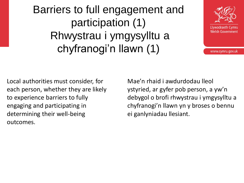Barriers to full engagement and participation (1) Rhwystrau i ymgysylltu a chyfranogi'n llawn (1)



www.cymru.gov.uk

Local authorities must consider, for each person, whether they are likely to experience barriers to fully engaging and participating in determining their well-being outcomes.

Mae'n rhaid i awdurdodau lleol ystyried, ar gyfer pob person, a yw'n debygol o brofi rhwystrau i ymgysylltu a chyfranogi'n llawn yn y broses o bennu ei ganlyniadau llesiant.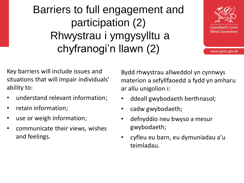### Barriers to full engagement and participation (2) Rhwystrau i ymgysylltu a chyfranogi'n llawn (2)



www.cymru.gov.uk

Key barriers will include issues and situations that will impair individuals' ability to:

- understand relevant information;
- retain information;
- use or weigh information;
- communicate their views, wishes and feelings.

Bydd rhwystrau allweddol yn cynnwys materion a sefyllfaoedd a fydd yn amharu ar allu unigolion i:

- ddeall gwybodaeth berthnasol;
- cadw gwybodaeth;
- defnyddio neu bwyso a mesur gwybodaeth;
- cyfleu eu barn, eu dymuniadau a'u teimladau.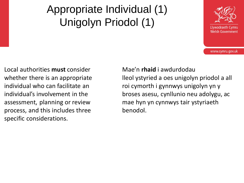### Appropriate Individual (1) Unigolyn Priodol (1)



www.cymru.gov.uk

Local authorities **must** consider whether there is an appropriate individual who can facilitate an individual's involvement in the assessment, planning or review process, and this includes three specific considerations.

Mae'n **rhaid** i awdurdodau lleol ystyried a oes unigolyn priodol a all roi cymorth i gynnwys unigolyn yn y broses asesu, cynllunio neu adolygu, ac mae hyn yn cynnwys tair ystyriaeth benodol.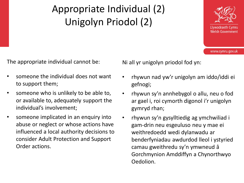### Appropriate Individual (2) Unigolyn Priodol (2)



www.cymru.gov.uk

The appropriate individual cannot be:

- someone the individual does not want to support them;
- someone who is unlikely to be able to, or available to, adequately support the individual's involvement;
- someone implicated in an enquiry into abuse or neglect or whose actions have influenced a local authority decisions to consider Adult Protection and Support Order actions.

Ni all yr unigolyn priodol fod yn:

- rhywun nad yw'r unigolyn am iddo/iddi ei gefnogi;
- rhywun sy'n annhebygol o allu, neu o fod ar gael i, roi cymorth digonol i'r unigolyn gymryd rhan;
- rhywun sy'n gysylltiedig ag ymchwiliad i gam-drin neu esgeuluso neu y mae ei weithredoedd wedi dylanwadu ar benderfyniadau awdurdod lleol i ystyried camau gweithredu sy'n ymwneud â Gorchmynion Amddiffyn a Chynorthwyo Oedolion.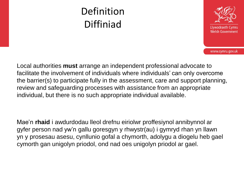#### Definition Diffiniad



www.cymru.gov.uk

Local authorities **must** arrange an independent professional advocate to facilitate the involvement of individuals where individuals' can only overcome the barrier(s) to participate fully in the assessment, care and support planning, review and safeguarding processes with assistance from an appropriate individual, but there is no such appropriate individual available.

Mae'n **rhaid** i awdurdodau lleol drefnu eiriolwr proffesiynol annibynnol ar gyfer person nad yw'n gallu goresgyn y rhwystr(au) i gymryd rhan yn llawn yn y prosesau asesu, cynllunio gofal a chymorth, adolygu a diogelu heb gael cymorth gan unigolyn priodol, ond nad oes unigolyn priodol ar gael.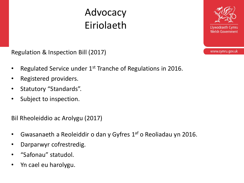#### Advocacy Eiriolaeth

Regulation & Inspection Bill (2017)

- Regulated Service under 1st Tranche of Regulations in 2016.
- Registered providers.
- Statutory "Standards".
- Subject to inspection.

Bil Rheoleiddio ac Arolygu (2017)

- Gwasanaeth a Reoleiddir o dan y Gyfres 1<sup>af</sup> o Reoliadau yn 2016.
- Darparwyr cofrestredig.
- "Safonau" statudol.
- Yn cael eu harolygu.